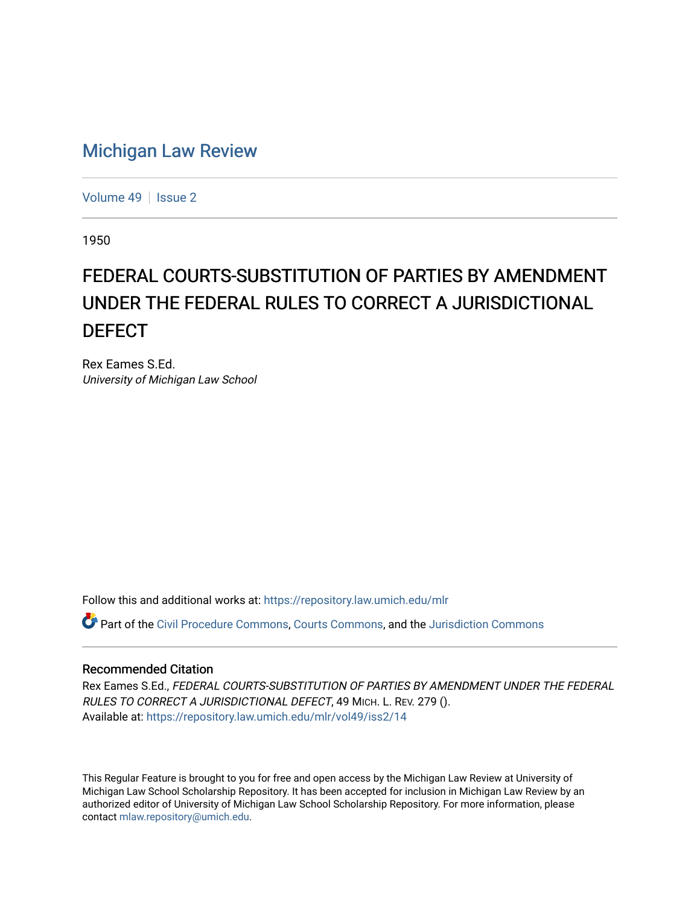## [Michigan Law Review](https://repository.law.umich.edu/mlr)

[Volume 49](https://repository.law.umich.edu/mlr/vol49) | [Issue 2](https://repository.law.umich.edu/mlr/vol49/iss2)

1950

## FEDERAL COURTS-SUBSTITUTION OF PARTIES BY AMENDMENT UNDER THE FEDERAL RULES TO CORRECT A JURISDICTIONAL **DEFECT**

Rex Eames S.Ed. University of Michigan Law School

Follow this and additional works at: [https://repository.law.umich.edu/mlr](https://repository.law.umich.edu/mlr?utm_source=repository.law.umich.edu%2Fmlr%2Fvol49%2Fiss2%2F14&utm_medium=PDF&utm_campaign=PDFCoverPages) 

Part of the [Civil Procedure Commons,](http://network.bepress.com/hgg/discipline/584?utm_source=repository.law.umich.edu%2Fmlr%2Fvol49%2Fiss2%2F14&utm_medium=PDF&utm_campaign=PDFCoverPages) [Courts Commons](http://network.bepress.com/hgg/discipline/839?utm_source=repository.law.umich.edu%2Fmlr%2Fvol49%2Fiss2%2F14&utm_medium=PDF&utm_campaign=PDFCoverPages), and the [Jurisdiction Commons](http://network.bepress.com/hgg/discipline/850?utm_source=repository.law.umich.edu%2Fmlr%2Fvol49%2Fiss2%2F14&utm_medium=PDF&utm_campaign=PDFCoverPages)

## Recommended Citation

Rex Eames S.Ed., FEDERAL COURTS-SUBSTITUTION OF PARTIES BY AMENDMENT UNDER THE FEDERAL RULES TO CORRECT A JURISDICTIONAL DEFECT, 49 MICH. L. REV. 279 (). Available at: [https://repository.law.umich.edu/mlr/vol49/iss2/14](https://repository.law.umich.edu/mlr/vol49/iss2/14?utm_source=repository.law.umich.edu%2Fmlr%2Fvol49%2Fiss2%2F14&utm_medium=PDF&utm_campaign=PDFCoverPages) 

This Regular Feature is brought to you for free and open access by the Michigan Law Review at University of Michigan Law School Scholarship Repository. It has been accepted for inclusion in Michigan Law Review by an authorized editor of University of Michigan Law School Scholarship Repository. For more information, please contact [mlaw.repository@umich.edu](mailto:mlaw.repository@umich.edu).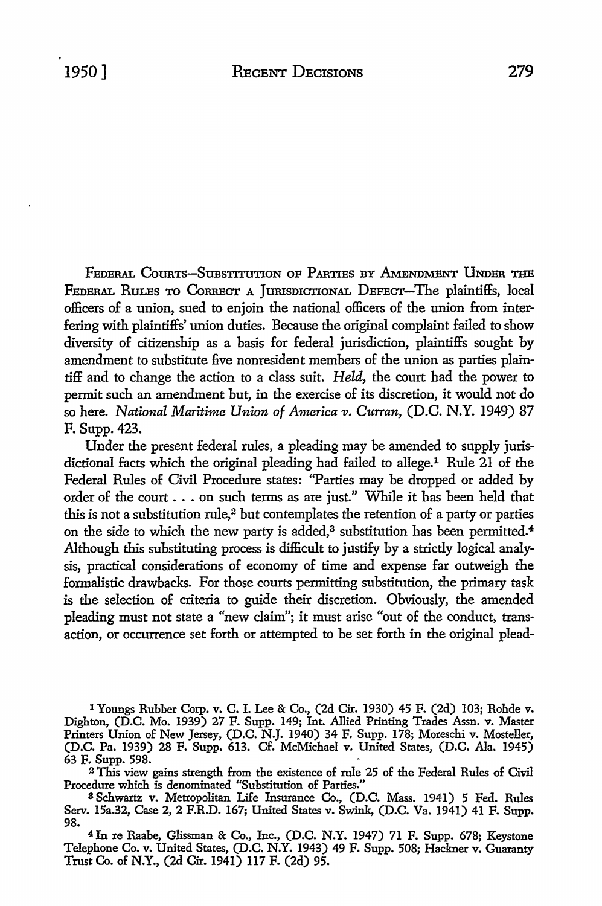FEDERAL COURTS-SUBSTITUTION OF PARTIES BY AMENDMENT UNDER THE FEDERAL RULES TO CORRECT A JURISDICTIONAL DEFECT-The plaintiffs, local officers of a union, sued to enjoin the national officers of the union from interfering with plaintiffs' union duties. Because the original complaint failed to show diversity of citizenship as a basis for federal jurisdiction, plaintiffs sought by amendment to substitute five nonresident members of the union as parties plaintiff and to change the action to a class suit. *Held,* the court had the power to permit such an amendment but, in the exercise of its discretion, it would not do so here. *National Maritime Union of America v. Curran,* (D.C. N.Y. 1949) 87 F. Supp. 423.

Under the present federal rules, a pleading may be amended to supply jurisdictional facts which the original pleading had failed to allege.1 Rule 21 of the Federal Rules of Civil Procedure states: "Parties may be dropped or added by order of the court ... on such terms as are just." While it has been held that this is not a substitution rule, $2$  but contemplates the retention of a party or parties on the side to which the new party is added,<sup>3</sup> substitution has been permitted.<sup>4</sup> Although this substituting process is difficult to justify by a strictly logical analysis, practical considerations of economy of time and expense far outweigh the formalistic drawbacks. For those courts permitting substitution, the primary task is the selection of criteria to guide their discretion. Obviously, the amended pleading must not state a "new claim"; it must arise "out of the conduct, transaction, or occurrence set forth or attempted to be set forth in the original plead-

1 Youngs Rubber Corp. **v. C.** I. Lee & Co., (2d Cir. 1930) 45 F. (2d) 103; Rohde v. Dighton, (D.C. Mo. 1939) 27 F. Supp. 149; Int. Allied Printing Trades Assn. v. Master Printers Union of New Jersey, (D.C. N.J. 1940) 34 F. Supp. 178; Moreschi v. Mosteller, (D.C. Pa. 1939) 28 F. Supp. 613. Cf. McMichael v. United States, (D.C. Ala. 1945) 63 F. Supp. 598.

2 This view gains strength from the existence of rule 25 of the Federal Rules of Civil Procedure which is denominated "Substitution of Parties."

S Schwartz v. Metropolitan Life Insurance Co., (D.C. Mass. 1941) 5 Fed. Rules Serv. 15a.32, Case 2, 2 F.R.D. 167; United States v. Swink, (D.C. Va. 1941) 41 F. Supp. 98.

<sup>4</sup>In re Raabe, Glissman & Co., Inc., (D.C. N.Y. 1947) 71 F. Supp. 678; Keystone Telephone Co. v. United States, (D.C. N.Y. 1943) 49 F. Supp. 508; Hackner v. Guaranty Trust Co. of N.Y., (2d Cir. 1941) 117 F. (2d) 95.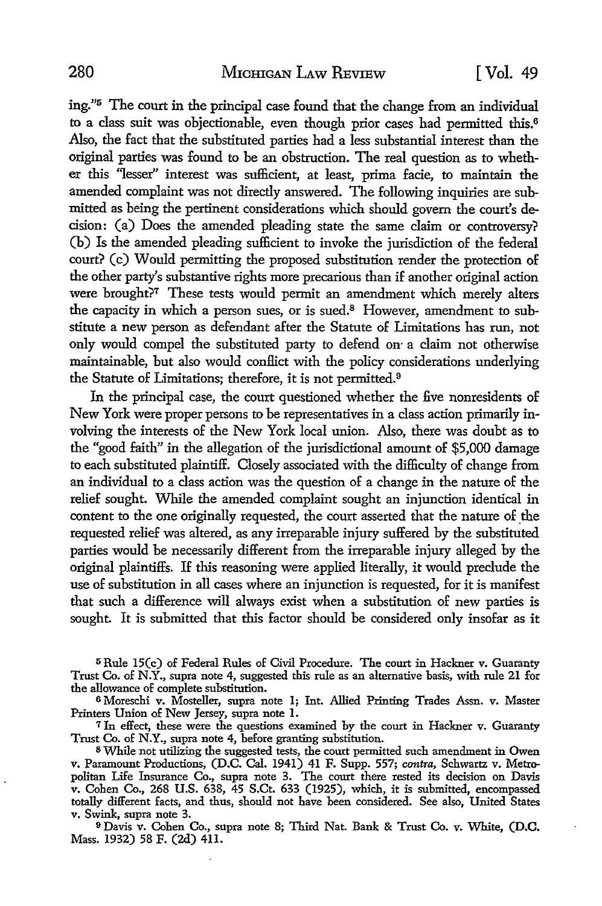ing."<sup>5</sup>The court in the principal case found that the change from an individual to a class suit was objectionable, even though prior cases had permitted this.<sup>6</sup> Also, the fact that the substituted parties had a less substantial interest than the original parties was found to be an obstruction. The real question as to whether this "lesser" interest was sufficient, at least, prima facie, to maintain the amended complaint was not directly answered. The following inquiries are submitted as being the pertinent considerations which should govern the court's decision: (a) Does the amended pleading state the same claim or controversy? (b) Is the amended pleading sufficient *to* invoke the jurisdiction of the federal court? (c) Would permitting the proposed substitution render the protection of the other party's substantive rights more precarious than if another original action were brought?<sup>7</sup> These tests would permit an amendment which merely alters the capacity in which a person sues, or is sued.8 However, amendment to substitute a new person as defendant after the Statute of Limitations has run, not only would compel the substituted party to defend on- a claim not otherwise maintainable, but also would conflict with the policy considerations underlying the Statute of Limitations; therefore, it is not permitted. <sup>9</sup>

In the principal case, the court questioned whether the five nonresidents of New York were proper persons *to* be representatives in a class action primarily involving the interests of the New York local union. Also, there was doubt as to the "good faith" in the allegation of the jurisdictional amount of \$5,000 damage *to* each substituted plaintiff. Closely associated with the difficulty of change from an individual to a class action was the question of a change in the nature of the relief sought. While the amended complaint sought an injunction identical in content to the one originally requested, the court asserted that the nature of the requested relief was altered, as any irreparable injury suffered by the substituted parties would be necessarily different from the irreparable injury alleged by the original plaintiffs. If this reasoning were applied literally, it would preclude the use of substitution in all cases where an injunction is requested, for it is manifest that such a difference will always exist when a substitution of new parties is sought. It is submitted that this factor should be considered only insofar as it

5Rule 15(c) of Federal Rules of Civil Procedure. The court in Hackner v. Guaranty Trust Co. of N.Y., supra note 4, suggested this rule as an alternative basis, with rule 21 for the allowance of complete substitution.

<sup>6</sup>Moreschi v. Mosteller, supra note l; Int. Allied Printing Trades Assn. v. Master Printers Union of New Jersey, supra note I.

<sup>7</sup>In effect, these were the questions examined by the court in Hackner v. Guaranty Trust Co. of N.Y., supra note 4, before granting substitution.

s While not utilizing the suggested tests, the court permitted such amendment in Owen v. Paramount Productions, (D.C. Cal. 1941) 41 F. Supp. 557; *contra,* Schwartz v. Metropolitan Life Insurance Co., supra note 3. The court there rested its decision on Davis v. Cohen Co., 268 U.S. 638, 45 S.Ct. 633 (1925), which, it is submitted, encompassed totally different facts, and thus, should not have been considered. See also, United States v. Swink, supra note 3.

<sup>9</sup>Davis v. Cohen Co., supra note 8; Third Nat. Bank & Trust Co. v. White, (D.C. Mass. 1932) 58 F. (2d) 411.